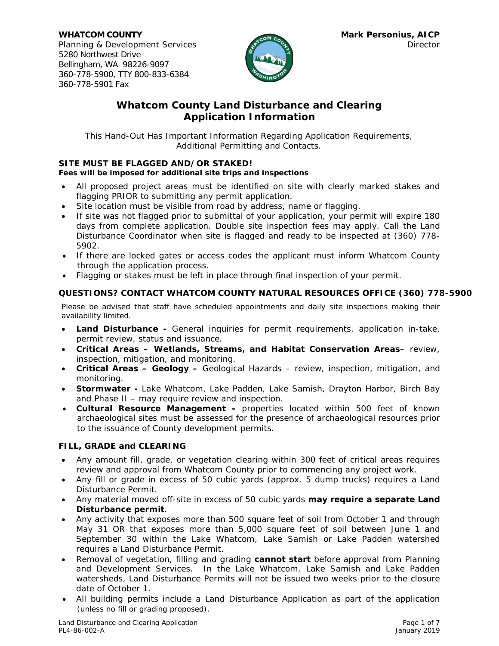

# *Whatcom County Land Disturbance and Clearing Application Information*

This Hand-Out Has Important Information Regarding Application Requirements, Additional Permitting and Contacts.

## **SITE MUST BE FLAGGED AND/OR STAKED!**

## *Fees will be imposed for additional site trips and inspections*

- All proposed project areas must be identified on site with clearly marked stakes and flagging PRIOR to submitting any permit application.
- Site location must be visible from road by address, name or flagging.
- If site was not flagged prior to submittal of your application, your permit will expire 180 days from complete application. Double site inspection fees may apply. Call the Land Disturbance Coordinator when site is flagged and ready to be inspected at (360) 778- 5902.
- If there are locked gates or access codes the applicant must inform Whatcom County through the application process.
- Flagging or stakes must be left in place through final inspection of your permit.

## **QUESTIONS? CONTACT WHATCOM COUNTY NATURAL RESOURCES OFFICE (360) 778-5900**

Please be advised that staff have scheduled appointments and daily site inspections making their availability limited.

- **Land Disturbance** General inquiries for permit requirements, application in-take, permit review, status and issuance.
- **Critical Areas Wetlands, Streams, and Habitat Conservation Areas** review, inspection, mitigation, and monitoring.
- **Critical Areas Geology** Geological Hazards review, inspection, mitigation, and monitoring.
- **Stormwater** Lake Whatcom, Lake Padden, Lake Samish, Drayton Harbor, Birch Bay and Phase II – may require review and inspection.
- **Cultural Resource Management -** properties located within 500 feet of known archaeological sites must be assessed for the presence of archaeological resources prior to the issuance of County development permits.

#### **FILL, GRADE and CLEARING**

- Any amount fill, grade, or vegetation clearing within 300 feet of critical areas requires review and approval from Whatcom County prior to commencing any project work.
- Any fill or grade in excess of 50 cubic yards (approx. 5 dump trucks) requires a Land Disturbance Permit.
- Any material moved off-site in excess of 50 cubic yards **may require a separate Land Disturbance permit**.
- Any activity that exposes more than 500 square feet of soil from October 1 and through May 31 OR that exposes more than 5,000 square feet of soil between June 1 and September 30 within the Lake Whatcom, Lake Samish or Lake Padden watershed requires a Land Disturbance Permit.
- Removal of vegetation, filling and grading **cannot start** before approval from Planning and Development Services. In the Lake Whatcom, Lake Samish and Lake Padden watersheds, Land Disturbance Permits will not be issued two weeks prior to the closure date of October 1.
- All building permits include a Land Disturbance Application as part of the application (unless no fill or grading proposed).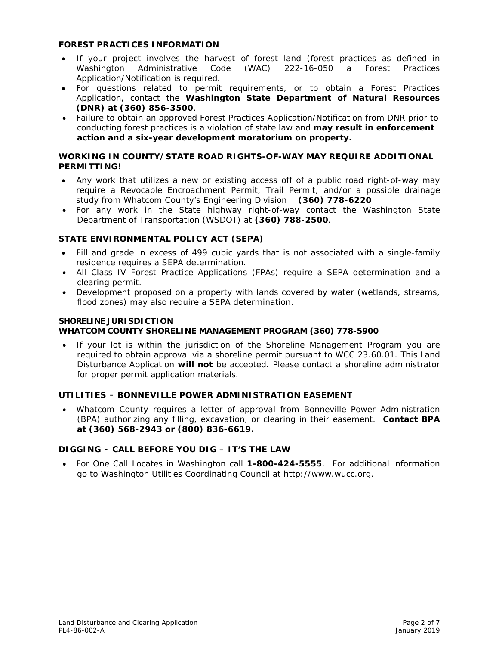#### **FOREST PRACTICES INFORMATION**

- If your project involves the harvest of forest land (forest practices as defined in Washington Administrative Code (WAC) 222-16-050 a Forest Practices Application/Notification is required.
- For questions related to permit requirements, or to obtain a Forest Practices Application, contact the **Washington State Department of Natural Resources (DNR) at (360) 856-3500**.
- Failure to obtain an approved Forest Practices Application/Notification from DNR prior to conducting forest practices is a violation of state law and **may result in enforcement action and a six-year development moratorium on property.**

## **WORKING IN COUNTY/STATE ROAD RIGHTS-OF-WAY MAY REQUIRE ADDITIONAL PERMITTING!**

- Any work that utilizes a new or existing access off of a public road right-of-way may require a Revocable Encroachment Permit, Trail Permit, and/or a possible drainage study from Whatcom County's Engineering Division **(360) 778-6220**.
- For any work in the State highway right-of-way contact the Washington State Department of Transportation (WSDOT) at **(360) 788-2500**.

# **STATE ENVIRONMENTAL POLICY ACT (SEPA)**

- Fill and grade in excess of 499 cubic yards that is not associated with a single-family residence requires a SEPA determination.
- All Class IV Forest Practice Applications (FPAs) require a SEPA determination and a clearing permit.
- Development proposed on a property with lands covered by water (wetlands, streams, flood zones) may also require a SEPA determination.

#### **SHORELINE JURISDICTION WHATCOM COUNTY SHORELINE MANAGEMENT PROGRAM (360) 778-5900**

• If your lot is within the jurisdiction of the Shoreline Management Program you are required to obtain approval via a shoreline permit pursuant to WCC 23.60.01. This Land Disturbance Application **will not** be accepted. Please contact a shoreline administrator for proper permit application materials.

# **UTILITIES** - **BONNEVILLE POWER ADMINISTRATION EASEMENT**

• Whatcom County requires a letter of approval from Bonneville Power Administration (BPA) authorizing any filling, excavation, or clearing in their easement. **Contact BPA at (360) 568-2943 or (800) 836-6619.**

# **DIGGING** - **CALL BEFORE YOU DIG – IT'S THE LAW**

• For One Call Locates in Washington call **1-800-424-5555**. For additional information go to Washington Utilities Coordinating Council at http://www.wucc.org.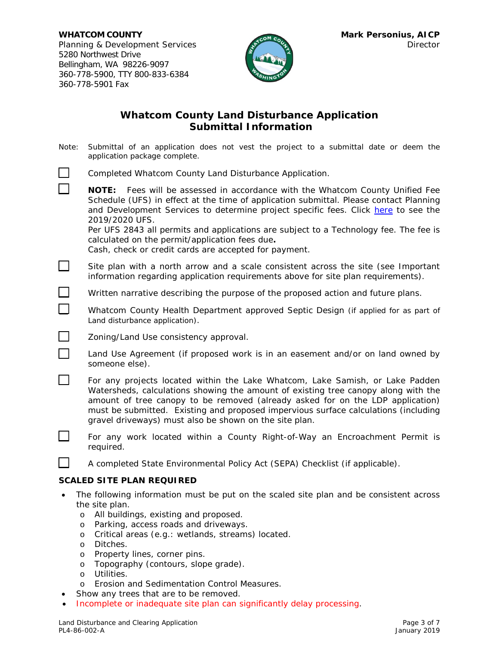П



# **Whatcom County Land Disturbance Application Submittal Information**

Note: Submittal of an application does not vest the project to a submittal date or deem the application package complete.

|  |  | Completed Whatcom County Land Disturbance Application. |  |
|--|--|--------------------------------------------------------|--|
|  |  |                                                        |  |

**NOTE:** Fees will be assessed in accordance with the Whatcom County Unified Fee Schedule (UFS) in effect at the time of application submittal. Please contact Planning and Development Services to determine project specific fees. Click [here](https://wa-whatcomcounty.civicplus.com/DocumentCenter/View/38803/2019-Approved-Unified-Fee-Schedule-for-Planning-PW-Engineering-Health-Environmental-Division) to see the 2019/2020 UFS.

Per UFS 2843 all permits and applications are subject to a Technology fee. The fee is calculated on the permit/application fees due**.** 

Cash, check or credit cards are accepted for payment.

Site plan with a north arrow and a scale consistent across the site (see Important information regarding application requirements above for site plan requirements).

 $\Box$  Written narrative describing the purpose of the proposed action and future plans.

**EXECOM** Whatcom County Health Department approved Septic Design (if applied for as part of Land disturbance application).

**<u></u>** *Zoning/Land Use consistency approval.* 

**1** Land Use Agreement (if proposed work is in an easement and/or on land owned by someone else).

For any projects located within the Lake Whatcom, Lake Samish, or Lake Padden Watersheds, calculations showing the amount of existing tree canopy along with the amount of tree canopy to be removed (already asked for on the LDP application) must be submitted. Existing and proposed impervious surface calculations (including gravel driveways) must also be shown on the site plan.

 For any work located within a County Right-of-Way an Encroachment Permit is required.

A completed State Environmental Policy Act (SEPA) Checklist (if applicable).

#### **SCALED SITE PLAN REQUIRED**

- The following information must be put on the scaled site plan and be consistent across the site plan.
	- o All buildings, existing and proposed.
	- o Parking, access roads and driveways.
	- o Critical areas (e.g.: wetlands, streams) located.
	- o Ditches.
	- o Property lines, corner pins.
	- o Topography (contours, slope grade).
	- o Utilities.
	- o Erosion and Sedimentation Control Measures.
- Show any trees that are to be removed.
- *Incomplete or inadequate site plan can significantly delay processing*.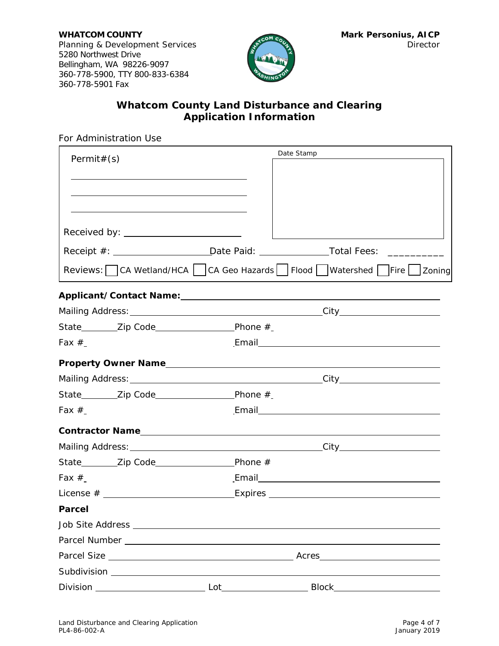

# *Whatcom County Land Disturbance and Clearing Application Information*

For Administration Use

| Permit# $(s)$ |                                                                                                                                                                                                                               |                                                                                                                                                                                                                                     | Date Stamp |                           |  |
|---------------|-------------------------------------------------------------------------------------------------------------------------------------------------------------------------------------------------------------------------------|-------------------------------------------------------------------------------------------------------------------------------------------------------------------------------------------------------------------------------------|------------|---------------------------|--|
|               |                                                                                                                                                                                                                               |                                                                                                                                                                                                                                     |            |                           |  |
|               | the control of the control of the control of the control of the control of the control of the control of the control of the control of the control of the control of the control of the control of the control of the control |                                                                                                                                                                                                                                     |            |                           |  |
|               |                                                                                                                                                                                                                               |                                                                                                                                                                                                                                     |            |                           |  |
|               |                                                                                                                                                                                                                               |                                                                                                                                                                                                                                     |            |                           |  |
|               | Received by: _______________________                                                                                                                                                                                          |                                                                                                                                                                                                                                     |            |                           |  |
|               | Receipt #: ____________________________Date Paid: _______________________________                                                                                                                                             |                                                                                                                                                                                                                                     |            |                           |  |
|               | Reviews: CA Wetland/HCA   CA Geo Hazards   Flood Watershed Fire Zoning                                                                                                                                                        |                                                                                                                                                                                                                                     |            |                           |  |
|               |                                                                                                                                                                                                                               |                                                                                                                                                                                                                                     |            |                           |  |
|               |                                                                                                                                                                                                                               |                                                                                                                                                                                                                                     |            |                           |  |
|               |                                                                                                                                                                                                                               |                                                                                                                                                                                                                                     |            |                           |  |
| Fax $#$       |                                                                                                                                                                                                                               |                                                                                                                                                                                                                                     |            | Email <b>Example 2018</b> |  |
|               |                                                                                                                                                                                                                               |                                                                                                                                                                                                                                     |            |                           |  |
|               |                                                                                                                                                                                                                               |                                                                                                                                                                                                                                     |            |                           |  |
|               |                                                                                                                                                                                                                               |                                                                                                                                                                                                                                     |            |                           |  |
| Fax $#$       |                                                                                                                                                                                                                               |                                                                                                                                                                                                                                     |            |                           |  |
|               |                                                                                                                                                                                                                               |                                                                                                                                                                                                                                     |            |                           |  |
|               |                                                                                                                                                                                                                               |                                                                                                                                                                                                                                     |            |                           |  |
|               |                                                                                                                                                                                                                               |                                                                                                                                                                                                                                     |            |                           |  |
| Fax $#$       |                                                                                                                                                                                                                               |                                                                                                                                                                                                                                     |            |                           |  |
|               |                                                                                                                                                                                                                               |                                                                                                                                                                                                                                     |            |                           |  |
| <b>Parcel</b> |                                                                                                                                                                                                                               |                                                                                                                                                                                                                                     |            |                           |  |
|               |                                                                                                                                                                                                                               |                                                                                                                                                                                                                                     |            |                           |  |
|               |                                                                                                                                                                                                                               |                                                                                                                                                                                                                                     |            |                           |  |
|               |                                                                                                                                                                                                                               |                                                                                                                                                                                                                                     |            |                           |  |
|               |                                                                                                                                                                                                                               |                                                                                                                                                                                                                                     |            |                           |  |
|               | Division _______________________                                                                                                                                                                                              | <b>Lot</b> the contract of the contract of the contract of the contract of the contract of the contract of the contract of the contract of the contract of the contract of the contract of the contract of the contract of the cont |            |                           |  |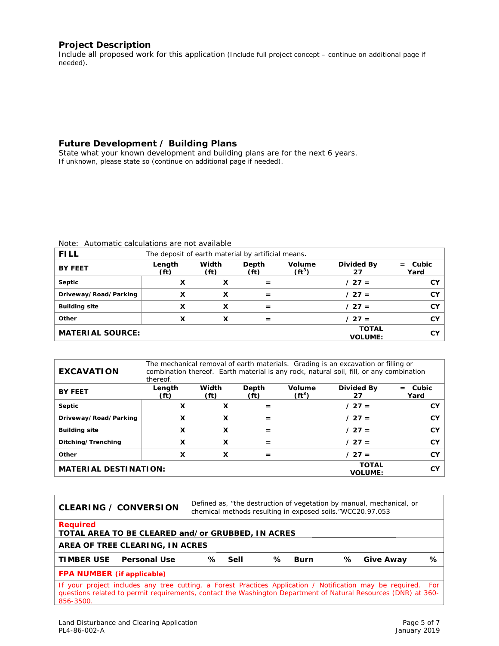#### **Project Description**

Include all proposed work for this application (Include full project concept – continue on additional page if needed).

# **Future Development / Building Plans**

State what your known development and building plans are for the next 6 years. If unknown, please state so (continue on additional page if needed).

| <b>FILL</b>             | The deposit of earth material by artificial means. |                            |                            |                           |                                |                      |
|-------------------------|----------------------------------------------------|----------------------------|----------------------------|---------------------------|--------------------------------|----------------------|
| <b>BY FEET</b>          | Length<br>(f <sub>t</sub> )                        | Width<br>(f <sub>t</sub> ) | Depth<br>(f <sup>t</sup> ) | <b>Volume</b><br>$(ft^3)$ | <b>Divided By</b><br>27        | Cubic<br>$=$<br>Yard |
| Septic                  | x                                                  | x                          | $=$                        |                           | $/27 =$                        | CY.                  |
| Driveway/Road/Parking   | x                                                  | х                          | $=$                        |                           | $/27 =$                        | CY.                  |
| <b>Building site</b>    | x                                                  | X                          | $=$                        |                           | $/27 =$                        | <b>CY</b>            |
| Other                   | x                                                  | x                          | $=$                        |                           | $/27 =$                        | CY.                  |
| <b>MATERIAL SOURCE:</b> |                                                    |                            |                            |                           | <b>TOTAL</b><br><b>VOLUME:</b> | CY.                  |

Note: Automatic calculations are not available

| <b>EXCAVATION</b>            | thereof.                    |                            |                            |                    | The mechanical removal of earth materials. Grading is an excavation or filling or<br>combination thereof. Earth material is any rock, natural soil, fill, or any combination |                      |
|------------------------------|-----------------------------|----------------------------|----------------------------|--------------------|------------------------------------------------------------------------------------------------------------------------------------------------------------------------------|----------------------|
| <b>BY FEET</b>               | Length<br>(f <sup>t</sup> ) | Width<br>(f <sub>t</sub> ) | Depth<br>(f <sup>t</sup> ) | Volume<br>$(ft^3)$ | Divided By<br>27                                                                                                                                                             | Cubic<br>$=$<br>Yard |
| Septic                       | X                           | X                          |                            |                    | $/27 =$                                                                                                                                                                      | <b>CY</b>            |
| Driveway/Road/Parking        | X                           | X                          | =                          |                    | $/27 =$                                                                                                                                                                      | CY                   |
| <b>Building site</b>         | x                           | х                          | =                          |                    | $/27 =$                                                                                                                                                                      | CY                   |
| Ditching/Trenching           | X                           | X                          | $=$                        |                    | $127 =$                                                                                                                                                                      | CY                   |
| Other                        | x                           | X                          | =                          |                    | $/27 =$                                                                                                                                                                      | <b>CY</b>            |
| <b>MATERIAL DESTINATION:</b> |                             |                            |                            |                    | <b>TOTAL</b><br><b>VOLUME:</b>                                                                                                                                               | <b>CY</b>            |

|                                   | <b>CLEARING / CONVERSION</b>                                                                                                                                                                                                    | Defined as, "the destruction of vegetation by manual, mechanical, or<br>chemical methods resulting in exposed soils."WCC20.97.053 |        |   |      |   |           |   |
|-----------------------------------|---------------------------------------------------------------------------------------------------------------------------------------------------------------------------------------------------------------------------------|-----------------------------------------------------------------------------------------------------------------------------------|--------|---|------|---|-----------|---|
| <b>Required</b>                   | TOTAL AREA TO BE CLEARED and/or GRUBBED, IN ACRES                                                                                                                                                                               |                                                                                                                                   |        |   |      |   |           |   |
| AREA OF TREE CLEARING, IN ACRES   |                                                                                                                                                                                                                                 |                                                                                                                                   |        |   |      |   |           |   |
| <b>TIMBER USE</b>                 | <b>Personal Use</b>                                                                                                                                                                                                             | ℅                                                                                                                                 | - Sell | ℅ | Burn | ℅ | Give Away | ℅ |
| <b>FPA NUMBER</b> (if applicable) |                                                                                                                                                                                                                                 |                                                                                                                                   |        |   |      |   |           |   |
| 856-3500.                         | If your project includes any tree cutting, a Forest Practices Application / Notification may be required. For<br>questions related to permit requirements, contact the Washington Department of Natural Resources (DNR) at 360- |                                                                                                                                   |        |   |      |   |           |   |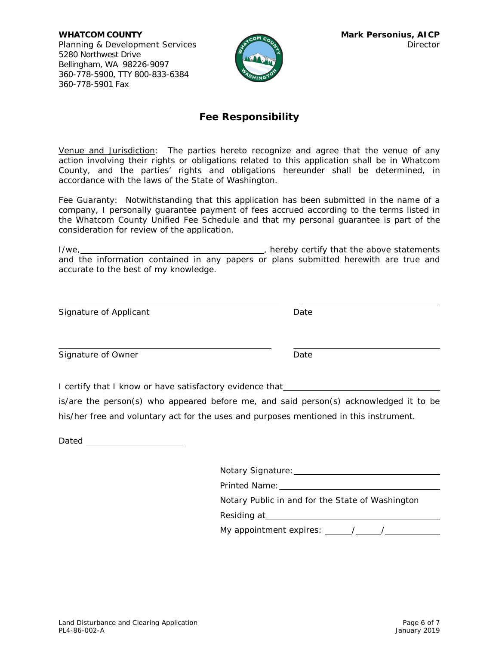**WHATCOM COUNTY MARK PERSONIUS, AICP** Planning & Development Services Director Director 5280 Northwest Drive Bellingham, WA 98226-9097 360-778-5900, TTY 800-833-6384 360-778-5901 Fax



# **Fee Responsibility**

Venue and Jurisdiction:The parties hereto recognize and agree that the venue of any action involving their rights or obligations related to this application shall be in Whatcom County, and the parties' rights and obligations hereunder shall be determined, in accordance with the laws of the State of Washington.

Fee Guaranty:Notwithstanding that this application has been submitted in the name of a company, I personally guarantee payment of fees accrued according to the terms listed in the Whatcom County Unified Fee Schedule and that my personal guarantee is part of the consideration for review of the application.

I/we, , hereby certify that the above statements and the information contained in any papers or plans submitted herewith are true and accurate to the best of my knowledge.

| Signature of Applicant | Date |
|------------------------|------|
| Signature of Owner     | Date |
|                        |      |

I certify that I know or have satisfactory evidence that

is/are the person(s) who appeared before me, and said person(s) acknowledged it to be his/her free and voluntary act for the uses and purposes mentioned in this instrument.

Dated **Dates and Dates and Dates and Dates and Dates and Dates and Dates and Dates and Dates and Dates and Dates and Dates and Dates and Dates and Dates and Dates and Dates and Dates and Dates and Dates and Dates and Dates** 

| <b>Notary Signature:</b> |
|--------------------------|
|--------------------------|

Printed Name:

Notary Public in and for the State of Washington

Residing at

My appointment expires:  $\frac{\sqrt{2.25}}{2.00}$